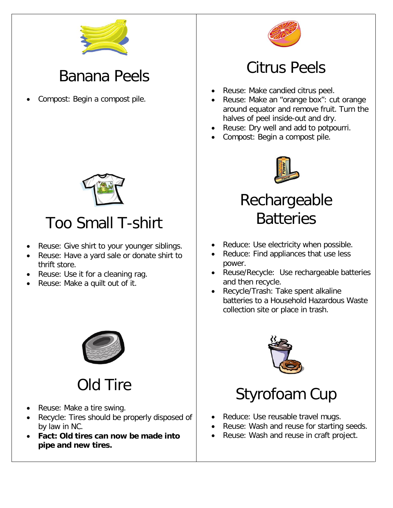

#### Banana Peels

• Compost: Begin a compost pile.



### Too Small T-shirt

- Reuse: Give shirt to your younger siblings.
- Reuse: Have a yard sale or donate shirt to thrift store.
- Reuse: Use it for a cleaning rag.
- Reuse: Make a quilt out of it.



### Old Tire

- Reuse: Make a tire swing.
- Recycle: Tires should be properly disposed of by law in NC.
- **Fact: Old tires can now be made into pipe and new tires.**



#### Citrus Peels

- Reuse: Make candied citrus peel.
- Reuse: Make an "orange box": cut orange around equator and remove fruit. Turn the halves of peel inside-out and dry.
- Reuse: Dry well and add to potpourri.
- Compost: Begin a compost pile.



### Rechargeable **Batteries**

- Reduce: Use electricity when possible.
- Reduce: Find appliances that use less power.
- Reuse/Recycle: Use rechargeable batteries and then recycle.
- Recycle/Trash: Take spent alkaline batteries to a Household Hazardous Waste collection site or place in trash.



## Styrofoam Cup

- Reduce: Use reusable travel mugs.
- Reuse: Wash and reuse for starting seeds.
- Reuse: Wash and reuse in craft project.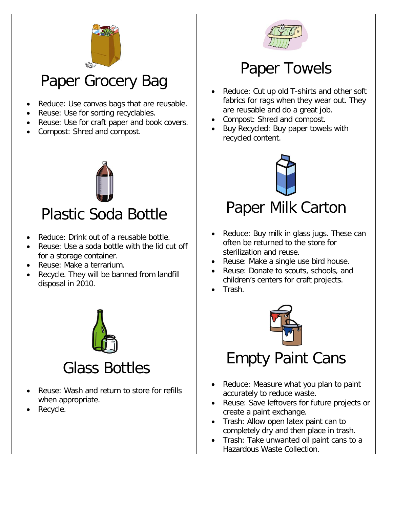

#### Paper Grocery Bag

- Reduce: Use canvas bags that are reusable.
- Reuse: Use for sorting recyclables.
- Reuse: Use for craft paper and book covers.
- Compost: Shred and compost.



#### Plastic Soda Bottle

- Reduce: Drink out of a reusable bottle.
- Reuse: Use a soda bottle with the lid cut off for a storage container.
- Reuse: Make a terrarium.
- Recycle. They will be banned from landfill disposal in 2010.



#### Glass Bottles

- Reuse: Wash and return to store for refills when appropriate.
- Recycle.



#### Paper Towels

- Reduce: Cut up old T-shirts and other soft fabrics for rags when they wear out. They are reusable and do a great job.
- Compost: Shred and compost.
- Buy Recycled: Buy paper towels with recycled content.



#### Paper Milk Carton

- Reduce: Buy milk in glass jugs. These can often be returned to the store for sterilization and reuse.
- Reuse: Make a single use bird house.
- Reuse: Donate to scouts, schools, and children's centers for craft projects.
- Trash.



#### Empty Paint Cans

- Reduce: Measure what you plan to paint accurately to reduce waste.
- Reuse: Save leftovers for future projects or create a paint exchange.
- Trash: Allow open latex paint can to completely dry and then place in trash.
- Trash: Take unwanted oil paint cans to a Hazardous Waste Collection.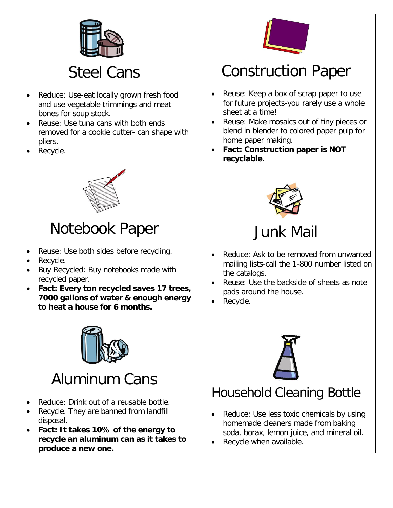

#### Steel Cans

- Reduce: Use-eat locally grown fresh food and use vegetable trimmings and meat bones for soup stock.
- Reuse: Use tuna cans with both ends removed for a cookie cutter- can shape with pliers.
- Recycle.



### Notebook Paper

- Reuse: Use both sides before recycling.
- Recycle.
- Buy Recycled: Buy notebooks made with recycled paper.
- **Fact: Every ton recycled saves 17 trees, 7000 gallons of water & enough energy to heat a house for 6 months.**



## Aluminum Cans

- Reduce: Drink out of a reusable bottle.
- Recycle. They are banned from landfill disposal.
- **Fact: It takes 10% of the energy to recycle an aluminum can as it takes to produce a new one.**



#### Construction Paper

- Reuse: Keep a box of scrap paper to use for future projects-you rarely use a whole sheet at a time!
- Reuse: Make mosaics out of tiny pieces or blend in blender to colored paper pulp for home paper making.
- **Fact: Construction paper is NOT recyclable.**



Junk Mail

- Reduce: Ask to be removed from unwanted mailing lists-call the 1-800 number listed on the catalogs.
- Reuse: Use the backside of sheets as note pads around the house.
- Recycle.



#### Household Cleaning Bottle

- Reduce: Use less toxic chemicals by using homemade cleaners made from baking soda, borax, lemon juice, and mineral oil.
- Recycle when available.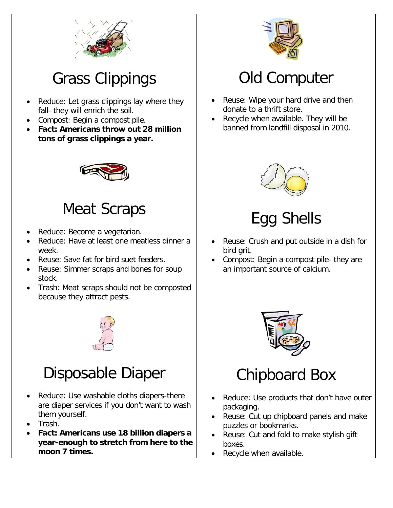

## Grass Clippings

- Reduce: Let grass clippings lay where they fall- they will enrich the soil.
- Compost: Begin a compost pile.
- **Fact: Americans throw out 28 million tons of grass clippings a year.**



#### Meat Scraps

- Reduce: Become a vegetarian.
- Reduce: Have at least one meatless dinner a week.
- Reuse: Save fat for bird suet feeders.
- Reuse: Simmer scraps and bones for soup stock.
- Trash: Meat scraps should not be composted because they attract pests.



#### Disposable Diaper

- Reduce: Use washable cloths diapers-there are diaper services if you don't want to wash them yourself.
- Trash.
- **Fact: Americans use 18 billion diapers a year-enough to stretch from here to the moon 7 times.**



#### Old Computer

- Reuse: Wipe your hard drive and then donate to a thrift store.
- Recycle when available. They will be banned from landfill disposal in 2010.



### Egg Shells

- Reuse: Crush and put outside in a dish for bird grit.
- Compost: Begin a compost pile- they are an important source of calcium.



### Chipboard Box

- Reduce: Use products that don't have outer packaging.
- Reuse: Cut up chipboard panels and make puzzles or bookmarks.
- Reuse: Cut and fold to make stylish gift boxes.
- Recycle when available.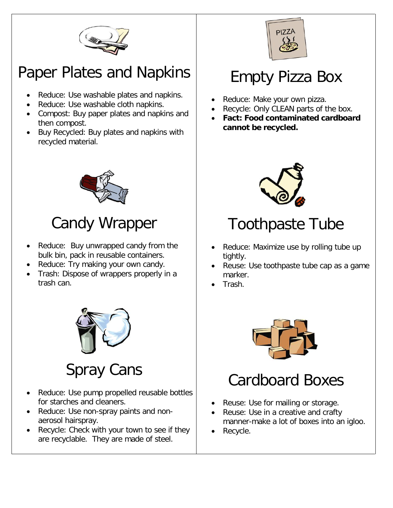

#### Paper Plates and Napkins

- Reduce: Use washable plates and napkins.
- Reduce: Use washable cloth napkins.
- Compost: Buy paper plates and napkins and then compost.
- Buy Recycled: Buy plates and napkins with recycled material.



### Candy Wrapper

- Reduce: Buy unwrapped candy from the bulk bin, pack in reusable containers.
- Reduce: Try making your own candy.
- Trash: Dispose of wrappers properly in a trash can.



### Spray Cans

- Reduce: Use pump propelled reusable bottles for starches and cleaners.
- Reduce: Use non-spray paints and nonaerosol hairspray.
- Recycle: Check with your town to see if they are recyclable. They are made of steel.



### Empty Pizza Box

- Reduce: Make your own pizza.
- Recycle: Only CLEAN parts of the box.
- **Fact: Food contaminated cardboard cannot be recycled.**



### Toothpaste Tube

- Reduce: Maximize use by rolling tube up tightly.
- Reuse: Use toothpaste tube cap as a game marker.
- Trash.



### Cardboard Boxes

- Reuse: Use for mailing or storage.
- Reuse: Use in a creative and crafty manner-make a lot of boxes into an igloo.
- Recycle.